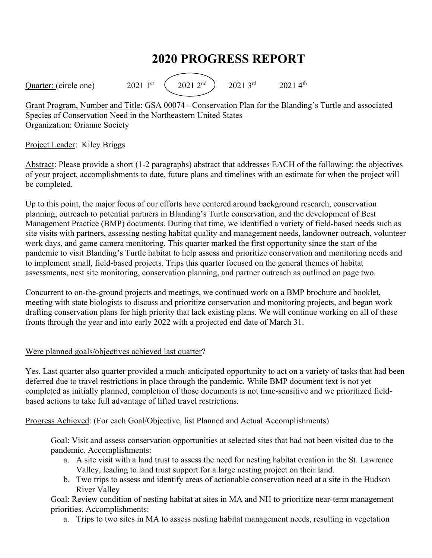## **2020 PROGRESS REPORT**

Quarter: (circle one)  $2021 \, 1^{st}$   $(2021 \, 2^{nd})$   $2021 \, 3^{rd}$   $2021 \, 4^{th}$ 

Grant Program, Number and Title: GSA 00074 - Conservation Plan for the Blanding's Turtle and associated Species of Conservation Need in the Northeastern United States Organization: Orianne Society

## Project Leader: Kiley Briggs

Abstract: Please provide a short (1-2 paragraphs) abstract that addresses EACH of the following: the objectives of your project, accomplishments to date, future plans and timelines with an estimate for when the project will be completed.

Up to this point, the major focus of our efforts have centered around background research, conservation planning, outreach to potential partners in Blanding's Turtle conservation, and the development of Best Management Practice (BMP) documents. During that time, we identified a variety of field-based needs such as site visits with partners, assessing nesting habitat quality and management needs, landowner outreach, volunteer work days, and game camera monitoring. This quarter marked the first opportunity since the start of the pandemic to visit Blanding's Turtle habitat to help assess and prioritize conservation and monitoring needs and to implement small, field-based projects. Trips this quarter focused on the general themes of habitat assessments, nest site monitoring, conservation planning, and partner outreach as outlined on page two.

Concurrent to on-the-ground projects and meetings, we continued work on a BMP brochure and booklet, meeting with state biologists to discuss and prioritize conservation and monitoring projects, and began work drafting conservation plans for high priority that lack existing plans. We will continue working on all of these fronts through the year and into early 2022 with a projected end date of March 31.

## Were planned goals/objectives achieved last quarter?

Yes. Last quarter also quarter provided a much-anticipated opportunity to act on a variety of tasks that had been deferred due to travel restrictions in place through the pandemic. While BMP document text is not yet completed as initially planned, completion of those documents is not time-sensitive and we prioritized fieldbased actions to take full advantage of lifted travel restrictions.

Progress Achieved: (For each Goal/Objective, list Planned and Actual Accomplishments)

Goal: Visit and assess conservation opportunities at selected sites that had not been visited due to the pandemic. Accomplishments:

- a. A site visit with a land trust to assess the need for nesting habitat creation in the St. Lawrence Valley, leading to land trust support for a large nesting project on their land.
- b. Two trips to assess and identify areas of actionable conservation need at a site in the Hudson River Valley

Goal: Review condition of nesting habitat at sites in MA and NH to prioritize near-term management priorities. Accomplishments:

a. Trips to two sites in MA to assess nesting habitat management needs, resulting in vegetation